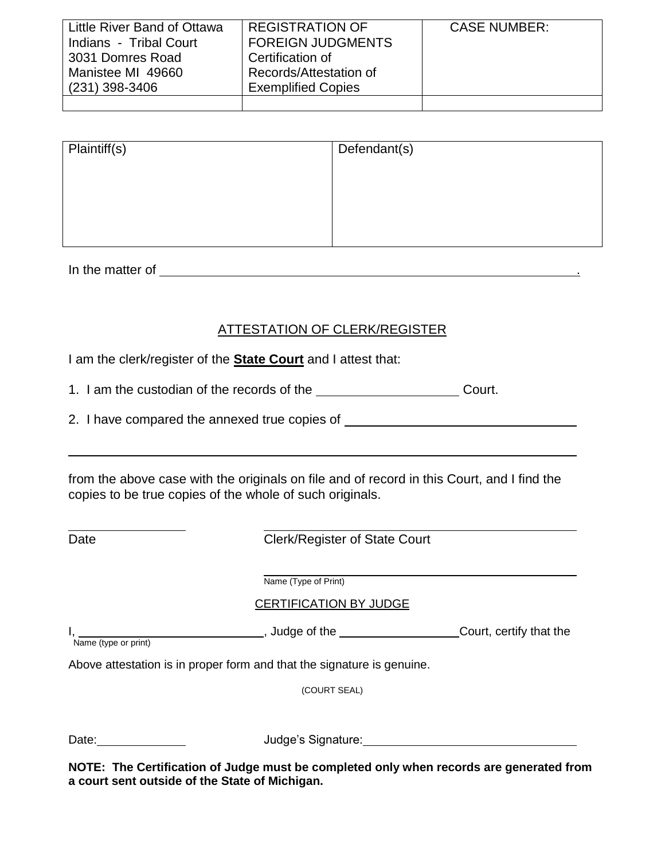| Little River Band of Ottawa | <b>REGISTRATION OF</b>    | <b>CASE NUMBER:</b> |
|-----------------------------|---------------------------|---------------------|
| Indians - Tribal Court      | <b>FOREIGN JUDGMENTS</b>  |                     |
| 3031 Domres Road            | Certification of          |                     |
| Manistee MI 49660           | Records/Attestation of    |                     |
| (231) 398-3406              | <b>Exemplified Copies</b> |                     |
|                             |                           |                     |

| Plaintiff(s) | Defendant(s) |
|--------------|--------------|
|              |              |
|              |              |
|              |              |

In the matter of .

## ATTESTATION OF CLERK/REGISTER

I am the clerk/register of the **State Court** and I attest that:

| 1. I am the custodian of the records of the |  | Court. |
|---------------------------------------------|--|--------|
|---------------------------------------------|--|--------|

|  |  | 2. I have compared the annexed true copies of |  |  |  |  |  |
|--|--|-----------------------------------------------|--|--|--|--|--|
|--|--|-----------------------------------------------|--|--|--|--|--|

from the above case with the originals on file and of record in this Court, and I find the copies to be true copies of the whole of such originals.

Date **Clerk/Register of State Court** 

Name (Type of Print)

CERTIFICATION BY JUDGE

**I, Sourte The Court, certify that the** Court, certify that the I,<br>Name (type or print)

Above attestation is in proper form and that the signature is genuine.

(COURT SEAL)

Date: Judge's Signature:

**NOTE: The Certification of Judge must be completed only when records are generated from a court sent outside of the State of Michigan.**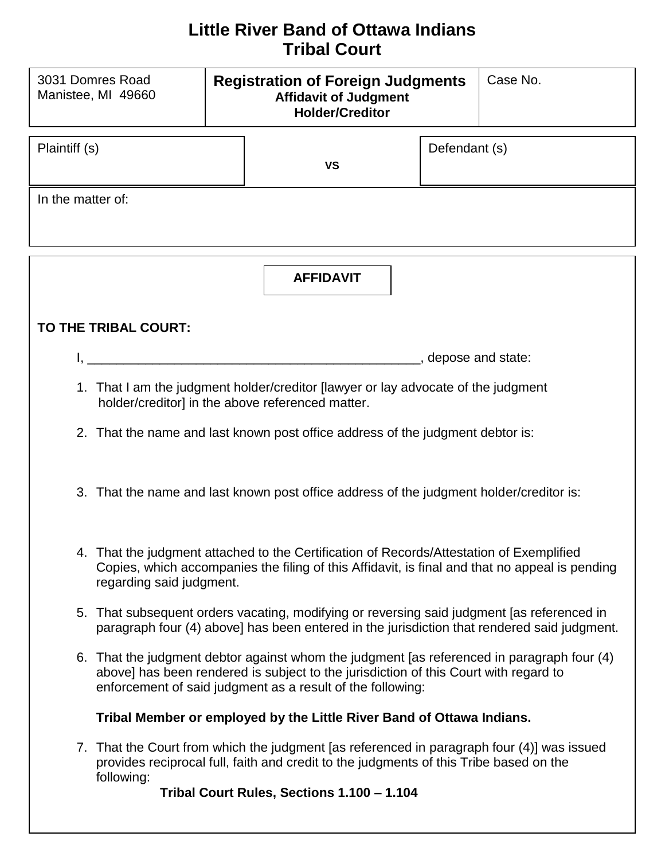## **Little River Band of Ottawa Indians Tribal Court**

| 3031 Domres Road<br>Manistee, MI 49660 | <b>Registration of Foreign Judgments</b><br><b>Affidavit of Judgment</b><br><b>Holder/Creditor</b> | Case No.      |  |
|----------------------------------------|----------------------------------------------------------------------------------------------------|---------------|--|
| Plaintiff (s)                          | VS                                                                                                 | Defendant (s) |  |
| In the matter of:                      |                                                                                                    |               |  |
|                                        | <b>AFFIDAVIT</b>                                                                                   |               |  |

## **TO THE TRIBAL COURT:**

- I, \_\_\_\_\_\_\_\_\_\_\_\_\_\_\_\_\_\_\_\_\_\_\_\_\_\_\_\_\_\_\_\_\_\_\_\_\_\_\_\_\_\_\_\_\_\_, depose and state:
- 1. That I am the judgment holder/creditor [lawyer or lay advocate of the judgment holder/creditor] in the above referenced matter.
- 2. That the name and last known post office address of the judgment debtor is:
- 3. That the name and last known post office address of the judgment holder/creditor is:
- 4. That the judgment attached to the Certification of Records/Attestation of Exemplified Copies, which accompanies the filing of this Affidavit, is final and that no appeal is pending regarding said judgment.
- 5. That subsequent orders vacating, modifying or reversing said judgment [as referenced in paragraph four (4) above] has been entered in the jurisdiction that rendered said judgment.
- 6. That the judgment debtor against whom the judgment [as referenced in paragraph four (4) above] has been rendered is subject to the jurisdiction of this Court with regard to enforcement of said judgment as a result of the following:

## **Tribal Member or employed by the Little River Band of Ottawa Indians.**

7. That the Court from which the judgment [as referenced in paragraph four (4)] was issued provides reciprocal full, faith and credit to the judgments of this Tribe based on the following:

**Tribal Court Rules, Sections 1.100 – 1.104**